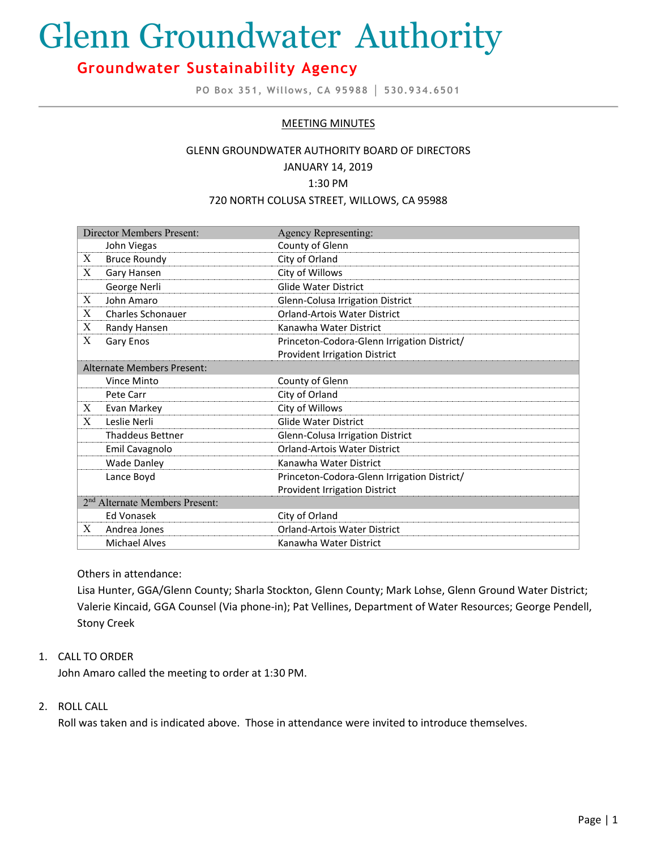# Glenn Groundwater Authority

# **Groundwater Sustainability Agency**

**PO Box 351, Willows, CA 95988 │ 530.934.6501**

# MEETING MINUTES

#### GLENN GROUNDWATER AUTHORITY BOARD OF DIRECTORS

#### JANUARY 14, 2019

#### 1:30 PM

#### 720 NORTH COLUSA STREET, WILLOWS, CA 95988

| <b>Director Members Present:</b>           |                          | <b>Agency Representing:</b>                 |
|--------------------------------------------|--------------------------|---------------------------------------------|
|                                            | John Viegas              | County of Glenn                             |
| X                                          | <b>Bruce Roundy</b>      | City of Orland                              |
| X                                          | Gary Hansen              | City of Willows                             |
|                                            | George Nerli             | <b>Glide Water District</b>                 |
| X                                          | John Amaro               | Glenn-Colusa Irrigation District            |
| X                                          | <b>Charles Schonauer</b> | <b>Orland-Artois Water District</b>         |
| X                                          | Randy Hansen             | Kanawha Water District                      |
| Χ                                          | Gary Enos                | Princeton-Codora-Glenn Irrigation District/ |
|                                            |                          | Provident Irrigation District               |
| <b>Alternate Members Present:</b>          |                          |                                             |
|                                            | Vince Minto              | County of Glenn                             |
|                                            | Pete Carr                | City of Orland                              |
| X                                          | Evan Markey              | City of Willows                             |
| X                                          | Leslie Nerli             | <b>Glide Water District</b>                 |
|                                            | <b>Thaddeus Bettner</b>  | Glenn-Colusa Irrigation District            |
|                                            | Emil Cavagnolo           | Orland-Artois Water District                |
|                                            | <b>Wade Danley</b>       | Kanawha Water District                      |
|                                            | Lance Boyd               | Princeton-Codora-Glenn Irrigation District/ |
|                                            |                          | <b>Provident Irrigation District</b>        |
| 2 <sup>nd</sup> Alternate Members Present: |                          |                                             |
|                                            | <b>Ed Vonasek</b>        | City of Orland                              |
| X                                          | Andrea Jones             | <b>Orland-Artois Water District</b>         |
|                                            | <b>Michael Alves</b>     | Kanawha Water District                      |

# Others in attendance:

Lisa Hunter, GGA/Glenn County; Sharla Stockton, Glenn County; Mark Lohse, Glenn Ground Water District; Valerie Kincaid, GGA Counsel (Via phone-in); Pat Vellines, Department of Water Resources; George Pendell, Stony Creek

# 1. CALL TO ORDER

John Amaro called the meeting to order at 1:30 PM.

# 2. ROLL CALL

Roll was taken and is indicated above. Those in attendance were invited to introduce themselves.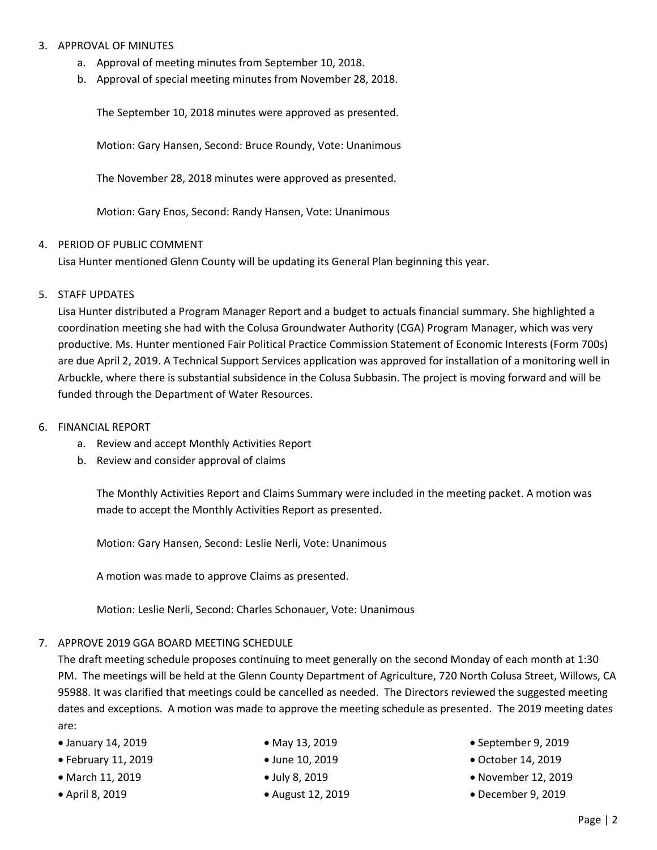### 3. APPROVAL OF MINUTES

- a. Approval of meeting minutes from September 10, 2018.
- b. Approval of special meeting minutes from November 28, 2018.

The September 10, 2018 minutes were approved as presented.

Motion: Gary Hansen, Second: Bruce Roundy, Vote: Unanimous

The November 28, 2018 minutes were approved as presented.

Motion: Gary Enos, Second: Randy Hansen, Vote: Unanimous

#### 4. PERIOD OF PUBLIC COMMENT

Lisa Hunter mentioned Glenn County will be updating its General Plan beginning this year.

#### 5. STAFF UPDATES

Lisa Hunter distributed a Program Manager Report and a budget to actuals financial summary. She highlighted a coordination meeting she had with the Colusa Groundwater Authority (CGA) Program Manager, which was very productive. Ms. Hunter mentioned Fair Political Practice Commission Statement of Economic Interests (Form 700s) are due April 2, 2019. A Technical Support Services application was approved for installation of a monitoring well in Arbuckle, where there is substantial subsidence in the Colusa Subbasin. The project is moving forward and will be funded through the Department of Water Resources.

- 6. FINANCIAL REPORT
	- a. Review and accept Monthly Activities Report
	- b. Review and consider approval of claims

The Monthly Activities Report and Claims Summary were included in the meeting packet. A motion was made to accept the Monthly Activities Report as presented.

Motion: Gary Hansen, Second: Leslie Nerli, Vote: Unanimous

A motion was made to approve Claims as presented.

Motion: Leslie Nerli, Second: Charles Schonauer, Vote: Unanimous

# 7. APPROVE 2019 GGA BOARD MEETING SCHEDULE

The draft meeting schedule proposes continuing to meet generally on the second Monday of each month at 1:30 PM. The meetings will be held at the Glenn County Department of Agriculture, 720 North Colusa Street, Willows, CA 95988. It was clarified that meetings could be cancelled as needed. The Directors reviewed the suggested meeting dates and exceptions. A motion was made to approve the meeting schedule as presented. The 2019 meeting dates are:

- January 14, 2019
- February 11, 2019
- March 11, 2019
- April 8, 2019
- May 13, 2019
- June 10, 2019
- July 8, 2019
- August 12, 2019
- September 9, 2019
- October 14, 2019
- November 12, 2019
- December 9, 2019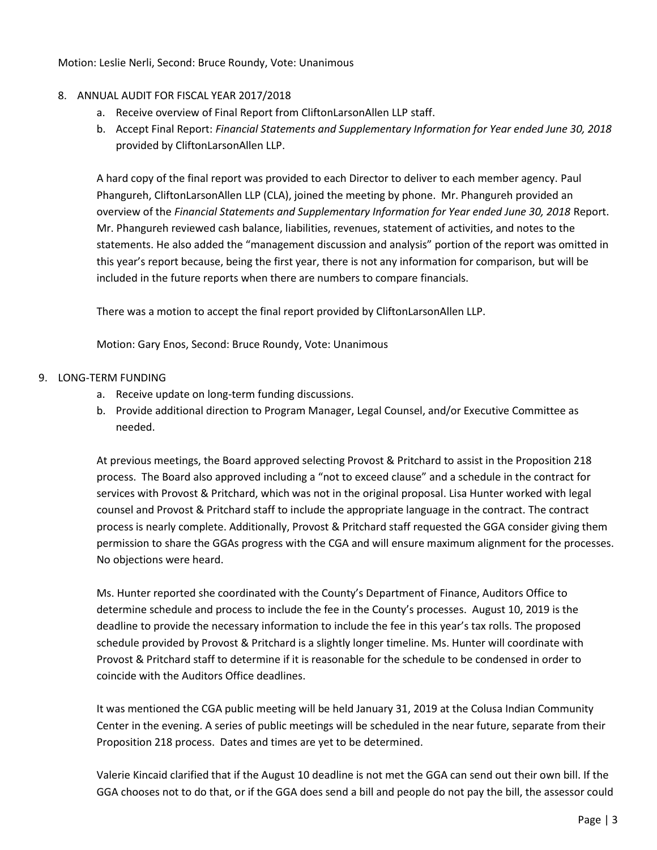Motion: Leslie Nerli, Second: Bruce Roundy, Vote: Unanimous

# 8. ANNUAL AUDIT FOR FISCAL YEAR 2017/2018

- a. Receive overview of Final Report from CliftonLarsonAllen LLP staff.
- b. Accept Final Report: *Financial Statements and Supplementary Information for Year ended June 30, 2018* provided by CliftonLarsonAllen LLP.

A hard copy of the final report was provided to each Director to deliver to each member agency. Paul Phangureh, CliftonLarsonAllen LLP (CLA), joined the meeting by phone. Mr. Phangureh provided an overview of the *Financial Statements and Supplementary Information for Year ended June 30, 2018* Report. Mr. Phangureh reviewed cash balance, liabilities, revenues, statement of activities, and notes to the statements. He also added the "management discussion and analysis" portion of the report was omitted in this year's report because, being the first year, there is not any information for comparison, but will be included in the future reports when there are numbers to compare financials.

There was a motion to accept the final report provided by CliftonLarsonAllen LLP.

Motion: Gary Enos, Second: Bruce Roundy, Vote: Unanimous

# 9. LONG-TERM FUNDING

- a. Receive update on long-term funding discussions.
- b. Provide additional direction to Program Manager, Legal Counsel, and/or Executive Committee as needed.

At previous meetings, the Board approved selecting Provost & Pritchard to assist in the Proposition 218 process. The Board also approved including a "not to exceed clause" and a schedule in the contract for services with Provost & Pritchard, which was not in the original proposal. Lisa Hunter worked with legal counsel and Provost & Pritchard staff to include the appropriate language in the contract. The contract process is nearly complete. Additionally, Provost & Pritchard staff requested the GGA consider giving them permission to share the GGAs progress with the CGA and will ensure maximum alignment for the processes. No objections were heard.

Ms. Hunter reported she coordinated with the County's Department of Finance, Auditors Office to determine schedule and process to include the fee in the County's processes. August 10, 2019 is the deadline to provide the necessary information to include the fee in this year's tax rolls. The proposed schedule provided by Provost & Pritchard is a slightly longer timeline. Ms. Hunter will coordinate with Provost & Pritchard staff to determine if it is reasonable for the schedule to be condensed in order to coincide with the Auditors Office deadlines.

It was mentioned the CGA public meeting will be held January 31, 2019 at the Colusa Indian Community Center in the evening. A series of public meetings will be scheduled in the near future, separate from their Proposition 218 process. Dates and times are yet to be determined.

Valerie Kincaid clarified that if the August 10 deadline is not met the GGA can send out their own bill. If the GGA chooses not to do that, or if the GGA does send a bill and people do not pay the bill, the assessor could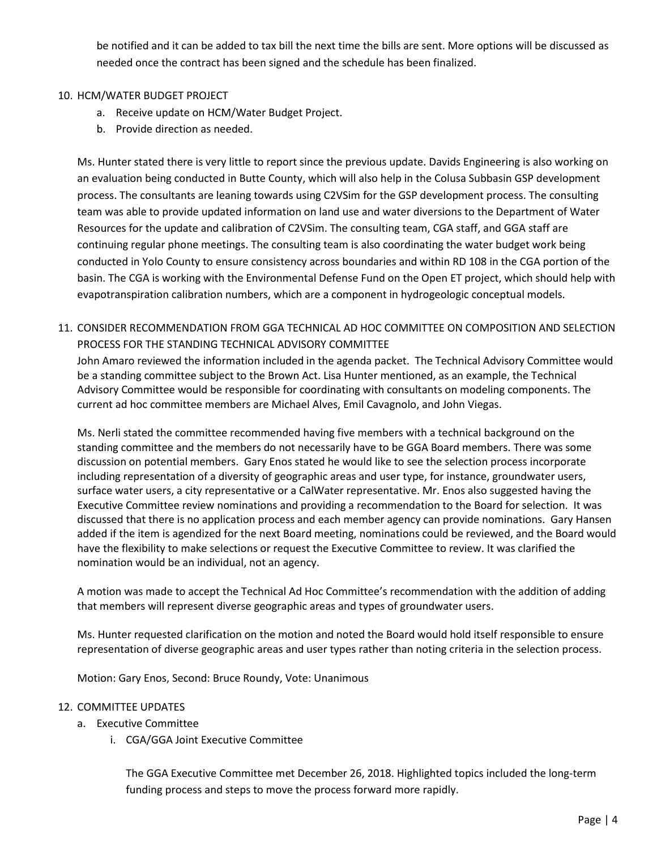be notified and it can be added to tax bill the next time the bills are sent. More options will be discussed as needed once the contract has been signed and the schedule has been finalized.

# 10. HCM/WATER BUDGET PROJECT

- a. Receive update on HCM/Water Budget Project.
- b. Provide direction as needed.

Ms. Hunter stated there is very little to report since the previous update. Davids Engineering is also working on an evaluation being conducted in Butte County, which will also help in the Colusa Subbasin GSP development process. The consultants are leaning towards using C2VSim for the GSP development process. The consulting team was able to provide updated information on land use and water diversions to the Department of Water Resources for the update and calibration of C2VSim. The consulting team, CGA staff, and GGA staff are continuing regular phone meetings. The consulting team is also coordinating the water budget work being conducted in Yolo County to ensure consistency across boundaries and within RD 108 in the CGA portion of the basin. The CGA is working with the Environmental Defense Fund on the Open ET project, which should help with evapotranspiration calibration numbers, which are a component in hydrogeologic conceptual models.

# 11. CONSIDER RECOMMENDATION FROM GGA TECHNICAL AD HOC COMMITTEE ON COMPOSITION AND SELECTION PROCESS FOR THE STANDING TECHNICAL ADVISORY COMMITTEE

John Amaro reviewed the information included in the agenda packet. The Technical Advisory Committee would be a standing committee subject to the Brown Act. Lisa Hunter mentioned, as an example, the Technical Advisory Committee would be responsible for coordinating with consultants on modeling components. The current ad hoc committee members are Michael Alves, Emil Cavagnolo, and John Viegas.

Ms. Nerli stated the committee recommended having five members with a technical background on the standing committee and the members do not necessarily have to be GGA Board members. There was some discussion on potential members. Gary Enos stated he would like to see the selection process incorporate including representation of a diversity of geographic areas and user type, for instance, groundwater users, surface water users, a city representative or a CalWater representative. Mr. Enos also suggested having the Executive Committee review nominations and providing a recommendation to the Board for selection. It was discussed that there is no application process and each member agency can provide nominations. Gary Hansen added if the item is agendized for the next Board meeting, nominations could be reviewed, and the Board would have the flexibility to make selections or request the Executive Committee to review. It was clarified the nomination would be an individual, not an agency.

A motion was made to accept the Technical Ad Hoc Committee's recommendation with the addition of adding that members will represent diverse geographic areas and types of groundwater users.

Ms. Hunter requested clarification on the motion and noted the Board would hold itself responsible to ensure representation of diverse geographic areas and user types rather than noting criteria in the selection process.

Motion: Gary Enos, Second: Bruce Roundy, Vote: Unanimous

# 12. COMMITTEE UPDATES

- a. Executive Committee
	- i. CGA/GGA Joint Executive Committee

The GGA Executive Committee met December 26, 2018. Highlighted topics included the long-term funding process and steps to move the process forward more rapidly.